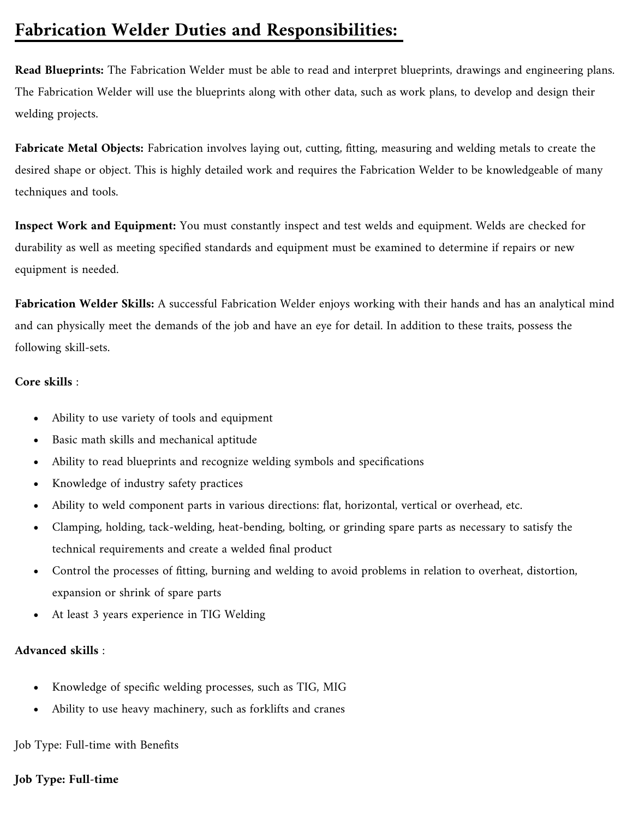# **Fabrication Welder Duties and Responsibilities:**

**Read Blueprints:** The Fabrication Welder must be able to read and interpret blueprints, drawings and engineering plans. The Fabrication Welder will use the blueprints along with other data, such as work plans, to develop and design their welding projects.

**Fabricate Metal Objects:** Fabrication involves laying out, cutting, fitting, measuring and welding metals to create the desired shape or object. This is highly detailed work and requires the Fabrication Welder to be knowledgeable of many techniques and tools.

**Inspect Work and Equipment:** You must constantly inspect and test welds and equipment. Welds are checked for durability as well as meeting specified standards and equipment must be examined to determine if repairs or new equipment is needed.

**Fabrication Welder Skills:** A successful Fabrication Welder enjoys working with their hands and has an analytical mind and can physically meet the demands of the job and have an eye for detail. In addition to these traits, possess the following skill-sets.

# **Core skills** :

- Ability to use variety of tools and equipment
- Basic math skills and mechanical aptitude
- Ability to read blueprints and recognize welding symbols and specifications
- Knowledge of industry safety practices
- Ability to weld component parts in various directions: flat, horizontal, vertical or overhead, etc.
- Clamping, holding, tack-welding, heat-bending, bolting, or grinding spare parts as necessary to satisfy the technical requirements and create a welded final product
- Control the processes of fitting, burning and welding to avoid problems in relation to overheat, distortion, expansion or shrink of spare parts
- At least 3 years experience in TIG Welding

# **Advanced skills** :

- Knowledge of specific welding processes, such as TIG, MIG
- Ability to use heavy machinery, such as forklifts and cranes

Job Type: Full-time with Benefits

# **Job Type: Full-time**